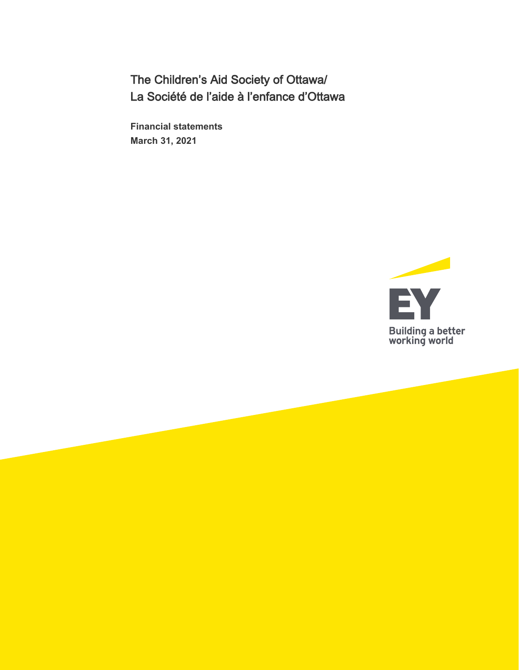**Financial statements March 31, 2021** 

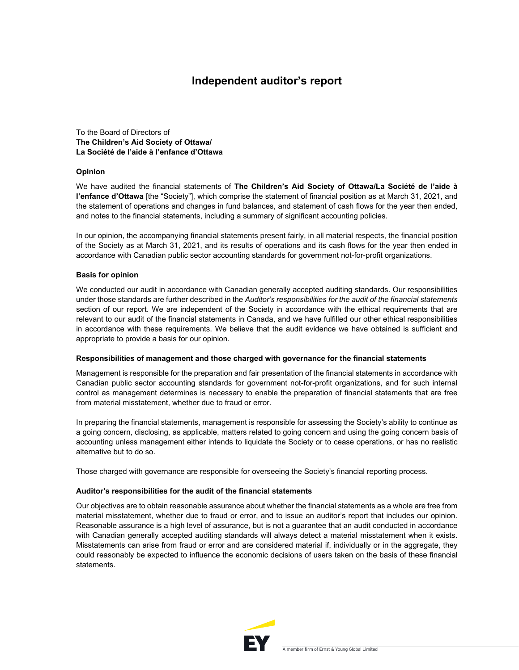## **Independent auditor's report**

To the Board of Directors of **The Children's Aid Society of Ottawa/ La Société de l'aide à l'enfance d'Ottawa**

#### **Opinion**

We have audited the financial statements of **The Children's Aid Society of Ottawa/La Société de l'aide à l'enfance d'Ottawa** [the "Society"], which comprise the statement of financial position as at March 31, 2021, and the statement of operations and changes in fund balances, and statement of cash flows for the year then ended, and notes to the financial statements, including a summary of significant accounting policies.

In our opinion, the accompanying financial statements present fairly, in all material respects, the financial position of the Society as at March 31, 2021, and its results of operations and its cash flows for the year then ended in accordance with Canadian public sector accounting standards for government not-for-profit organizations.

#### **Basis for opinion**

We conducted our audit in accordance with Canadian generally accepted auditing standards. Our responsibilities under those standards are further described in the *Auditor's responsibilities for the audit of the financial statements* section of our report. We are independent of the Society in accordance with the ethical requirements that are relevant to our audit of the financial statements in Canada, and we have fulfilled our other ethical responsibilities in accordance with these requirements. We believe that the audit evidence we have obtained is sufficient and appropriate to provide a basis for our opinion.

#### **Responsibilities of management and those charged with governance for the financial statements**

Management is responsible for the preparation and fair presentation of the financial statements in accordance with Canadian public sector accounting standards for government not-for-profit organizations, and for such internal control as management determines is necessary to enable the preparation of financial statements that are free from material misstatement, whether due to fraud or error.

In preparing the financial statements, management is responsible for assessing the Society's ability to continue as a going concern, disclosing, as applicable, matters related to going concern and using the going concern basis of accounting unless management either intends to liquidate the Society or to cease operations, or has no realistic alternative but to do so.

Those charged with governance are responsible for overseeing the Society's financial reporting process.

#### **Auditor's responsibilities for the audit of the financial statements**

Our objectives are to obtain reasonable assurance about whether the financial statements as a whole are free from material misstatement, whether due to fraud or error, and to issue an auditor's report that includes our opinion. Reasonable assurance is a high level of assurance, but is not a guarantee that an audit conducted in accordance with Canadian generally accepted auditing standards will always detect a material misstatement when it exists. Misstatements can arise from fraud or error and are considered material if, individually or in the aggregate, they could reasonably be expected to influence the economic decisions of users taken on the basis of these financial statements.

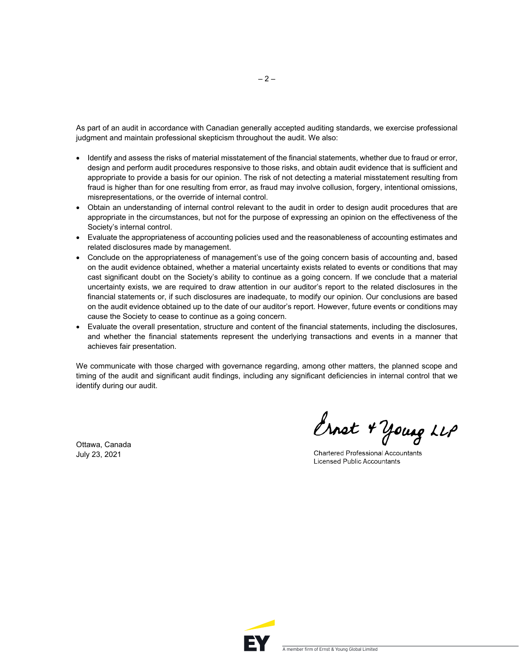As part of an audit in accordance with Canadian generally accepted auditing standards, we exercise professional judgment and maintain professional skepticism throughout the audit. We also:

- Identify and assess the risks of material misstatement of the financial statements, whether due to fraud or error, design and perform audit procedures responsive to those risks, and obtain audit evidence that is sufficient and appropriate to provide a basis for our opinion. The risk of not detecting a material misstatement resulting from fraud is higher than for one resulting from error, as fraud may involve collusion, forgery, intentional omissions, misrepresentations, or the override of internal control.
- Obtain an understanding of internal control relevant to the audit in order to design audit procedures that are appropriate in the circumstances, but not for the purpose of expressing an opinion on the effectiveness of the Society's internal control.
- Evaluate the appropriateness of accounting policies used and the reasonableness of accounting estimates and related disclosures made by management.
- Conclude on the appropriateness of management's use of the going concern basis of accounting and, based on the audit evidence obtained, whether a material uncertainty exists related to events or conditions that may cast significant doubt on the Society's ability to continue as a going concern. If we conclude that a material uncertainty exists, we are required to draw attention in our auditor's report to the related disclosures in the financial statements or, if such disclosures are inadequate, to modify our opinion. Our conclusions are based on the audit evidence obtained up to the date of our auditor's report. However, future events or conditions may cause the Society to cease to continue as a going concern.
- Evaluate the overall presentation, structure and content of the financial statements, including the disclosures, and whether the financial statements represent the underlying transactions and events in a manner that achieves fair presentation.

We communicate with those charged with governance regarding, among other matters, the planned scope and timing of the audit and significant audit findings, including any significant deficiencies in internal control that we identify during our audit.

Ottawa, Canada July 23, 2021

Ernst + Young LLP

**Chartered Professional Accountants** Licensed Public Accountants

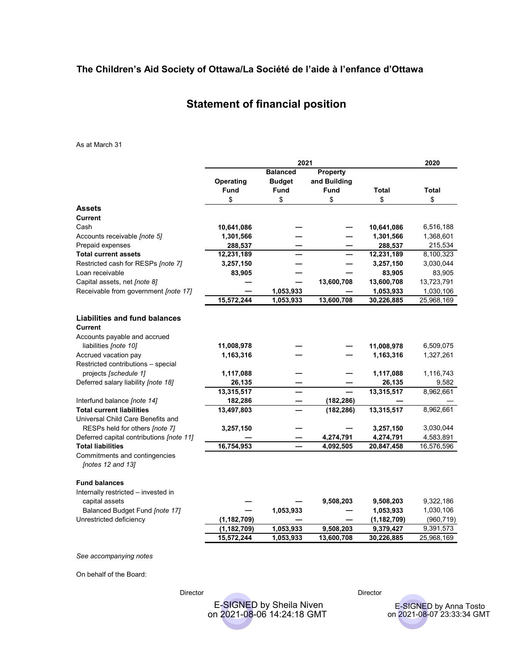## **Statement of financial position**

As at March 31

|                                          |               | 2021            |                 |               | 2020       |
|------------------------------------------|---------------|-----------------|-----------------|---------------|------------|
|                                          |               | <b>Balanced</b> | <b>Property</b> |               |            |
|                                          | Operating     | <b>Budget</b>   | and Building    |               |            |
|                                          | <b>Fund</b>   | <b>Fund</b>     | <b>Fund</b>     | Total         | Total      |
|                                          | \$            | \$              | \$              | \$            | \$         |
| <b>Assets</b>                            |               |                 |                 |               |            |
| Current                                  |               |                 |                 |               |            |
| Cash                                     | 10,641,086    |                 |                 | 10,641,086    | 6,516,188  |
| Accounts receivable [note 5]             | 1,301,566     |                 |                 | 1,301,566     | 1,368,601  |
| Prepaid expenses                         | 288,537       |                 |                 | 288,537       | 215,534    |
| <b>Total current assets</b>              | 12,231,189    |                 |                 | 12,231,189    | 8,100,323  |
| Restricted cash for RESPs [note 7]       | 3,257,150     |                 |                 | 3,257,150     | 3,030,044  |
| Loan receivable                          | 83,905        |                 |                 | 83,905        | 83,905     |
| Capital assets, net [note 8]             |               |                 | 13,600,708      | 13,600,708    | 13,723,791 |
| Receivable from government [note 17]     |               | 1,053,933       |                 | 1,053,933     | 1,030,106  |
|                                          | 15,572,244    | 1,053,933       | 13,600,708      | 30,226,885    | 25,968,169 |
|                                          |               |                 |                 |               |            |
| <b>Liabilities and fund balances</b>     |               |                 |                 |               |            |
| <b>Current</b>                           |               |                 |                 |               |            |
| Accounts payable and accrued             |               |                 |                 |               |            |
| liabilities [note 10]                    | 11,008,978    |                 |                 | 11,008,978    | 6,509,075  |
| Accrued vacation pay                     | 1,163,316     |                 |                 | 1,163,316     | 1,327,261  |
| Restricted contributions - special       |               |                 |                 |               |            |
| projects [schedule 1]                    | 1,117,088     |                 |                 | 1,117,088     | 1,116,743  |
| Deferred salary liability [note 18]      | 26,135        |                 |                 | 26,135        | 9,582      |
|                                          | 13,315,517    |                 |                 | 13,315,517    | 8,962,661  |
| Interfund balance [note 14]              | 182,286       |                 | (182, 286)      |               |            |
| <b>Total current liabilities</b>         | 13,497,803    |                 | (182, 286)      | 13,315,517    | 8,962,661  |
| Universal Child Care Benefits and        |               |                 |                 |               |            |
| RESPs held for others [note 7]           | 3,257,150     |                 |                 | 3,257,150     | 3,030,044  |
| Deferred capital contributions [note 11] |               |                 | 4,274,791       | 4,274,791     | 4,583,891  |
| <b>Total liabilities</b>                 | 16,754,953    |                 | 4,092,505       | 20,847,458    | 16,576,596 |
| Commitments and contingencies            |               |                 |                 |               |            |
| [notes 12 and 13]                        |               |                 |                 |               |            |
|                                          |               |                 |                 |               |            |
| <b>Fund balances</b>                     |               |                 |                 |               |            |
| Internally restricted - invested in      |               |                 |                 |               |            |
| capital assets                           |               |                 | 9,508,203       | 9,508,203     | 9,322,186  |
| Balanced Budget Fund [note 17]           |               | 1,053,933       |                 | 1,053,933     | 1,030,106  |
| Unrestricted deficiency                  | (1, 182, 709) |                 |                 | (1, 182, 709) | (960, 719) |
|                                          | (1, 182, 709) | 1,053,933       | 9,508,203       | 9,379,427     | 9,391,573  |
|                                          | 15,572,244    | 1,053,933       | 13,600,708      | 30,226,885    | 25,968,169 |

*See accompanying notes*

On behalf of the Board:

E-SIGNED by Sheila Niven on 2021-08-06 14:24:18 GMT

Director Director Director

E-SIGNED by Anna Tosto on 2021-08-07 23:33:34 GMT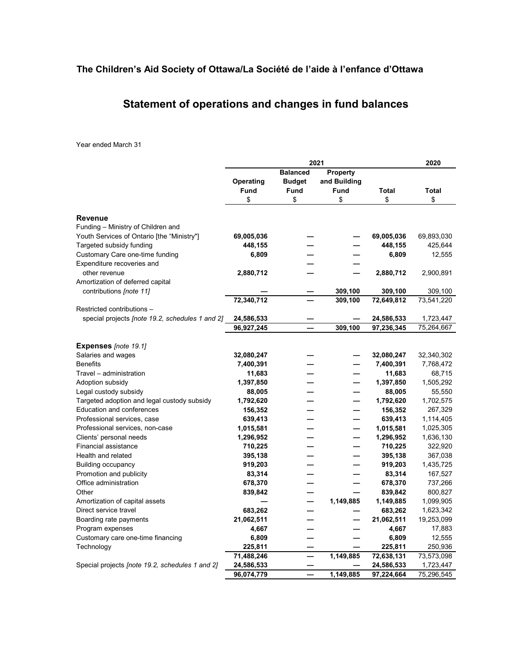## **Statement of operations and changes in fund balances**

Year ended March 31

|                                                        |             |                 | 2021         |            | 2020       |
|--------------------------------------------------------|-------------|-----------------|--------------|------------|------------|
|                                                        |             | <b>Balanced</b> | Property     |            |            |
|                                                        | Operating   | <b>Budget</b>   | and Building |            |            |
|                                                        | <b>Fund</b> | Fund            | Fund         | Total      | Total      |
|                                                        | \$          | \$              | \$           | \$         | \$         |
| <b>Revenue</b>                                         |             |                 |              |            |            |
| Funding - Ministry of Children and                     |             |                 |              |            |            |
| Youth Services of Ontario [the "Ministry"]             | 69,005,036  |                 |              | 69,005,036 | 69,893,030 |
| Targeted subsidy funding                               | 448,155     |                 |              | 448,155    | 425,644    |
| Customary Care one-time funding                        | 6,809       |                 |              | 6,809      | 12,555     |
| Expenditure recoveries and                             |             |                 |              |            |            |
| other revenue                                          | 2,880,712   |                 |              | 2,880,712  | 2,900,891  |
| Amortization of deferred capital                       |             |                 |              |            |            |
| contributions [note 11]                                |             |                 | 309,100      | 309,100    | 309,100    |
|                                                        | 72,340,712  |                 | 309,100      | 72,649,812 | 73,541,220 |
| Restricted contributions -                             |             |                 |              |            |            |
| special projects [note 19.2, schedules 1 and 2]        | 24,586,533  |                 |              | 24,586,533 | 1,723,447  |
|                                                        | 96,927,245  |                 | 309,100      | 97,236,345 | 75,264,667 |
|                                                        |             |                 |              |            |            |
| Expenses [note 19.1]                                   |             |                 |              |            |            |
| Salaries and wages                                     | 32,080,247  |                 |              | 32,080,247 | 32,340,302 |
| <b>Benefits</b>                                        | 7,400,391   |                 |              | 7,400,391  | 7,768,472  |
| Travel - administration                                | 11,683      |                 |              | 11,683     | 68,715     |
| Adoption subsidy                                       | 1,397,850   |                 |              | 1,397,850  | 1,505,292  |
| Legal custody subsidy                                  | 88,005      |                 |              | 88,005     | 55,550     |
| Targeted adoption and legal custody subsidy            | 1,792,620   |                 |              | 1,792,620  | 1,702,575  |
| Education and conferences                              | 156,352     |                 |              | 156,352    | 267,329    |
| Professional services, case                            | 639,413     |                 |              | 639,413    | 1,114,405  |
| Professional services, non-case                        | 1,015,581   |                 |              | 1,015,581  | 1,025,305  |
| Clients' personal needs                                | 1,296,952   |                 |              | 1,296,952  | 1,636,130  |
| Financial assistance                                   | 710,225     |                 |              | 710,225    | 322,920    |
| Health and related                                     | 395,138     |                 |              | 395,138    | 367,038    |
| Building occupancy                                     | 919,203     |                 |              | 919,203    | 1,435,725  |
| Promotion and publicity                                | 83,314      |                 |              | 83,314     | 167,527    |
| Office administration                                  | 678,370     |                 |              | 678,370    | 737,266    |
| Other                                                  | 839,842     |                 |              | 839,842    | 800,827    |
| Amortization of capital assets                         |             |                 | 1,149,885    | 1,149,885  | 1,099,905  |
| Direct service travel                                  | 683,262     |                 |              | 683,262    | 1,623,342  |
| Boarding rate payments                                 | 21,062,511  |                 |              | 21,062,511 | 19,253,099 |
| Program expenses                                       | 4,667       |                 |              | 4,667      | 17,883     |
| Customary care one-time financing                      | 6,809       |                 |              | 6,809      | 12,555     |
| Technology                                             | 225,811     |                 |              | 225,811    | 250,936    |
|                                                        | 71,488,246  |                 | 1,149,885    | 72,638,131 | 73,573,098 |
| Special projects <i>[note 19.2, schedules 1 and 2]</i> | 24,586,533  |                 |              | 24,586,533 | 1,723,447  |
|                                                        | 96,074,779  |                 | 1,149,885    | 97,224,664 | 75,296,545 |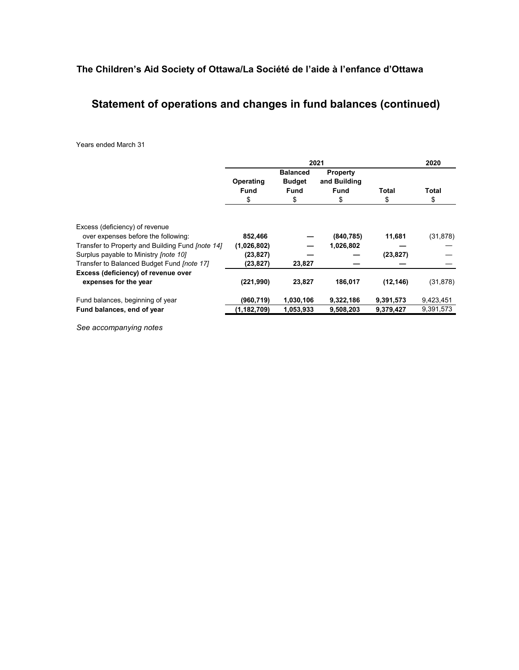## **Statement of operations and changes in fund balances (continued)**

Years ended March 31

|                                                                                                                                                                                                                                       |                                                  | 2021                                           |                                                      |                        | 2020                   |
|---------------------------------------------------------------------------------------------------------------------------------------------------------------------------------------------------------------------------------------|--------------------------------------------------|------------------------------------------------|------------------------------------------------------|------------------------|------------------------|
|                                                                                                                                                                                                                                       | Operating<br>Fund<br>\$                          | <b>Balanced</b><br><b>Budget</b><br>Fund<br>\$ | <b>Property</b><br>and Building<br><b>Fund</b><br>\$ | Total<br>\$            | Total<br>\$            |
| Excess (deficiency) of revenue<br>over expenses before the following:<br>Transfer to Property and Building Fund <i>[note 14]</i><br>Surplus payable to Ministry <i>[note 10]</i><br>Transfer to Balanced Budget Fund <i>[note 17]</i> | 852,466<br>(1,026,802)<br>(23, 827)<br>(23, 827) | 23,827                                         | (840, 785)<br>1,026,802                              | 11,681<br>(23, 827)    | (31, 878)              |
| Excess (deficiency) of revenue over<br>expenses for the year                                                                                                                                                                          | (221, 990)                                       | 23,827                                         | 186,017                                              | (12, 146)              | (31, 878)              |
| Fund balances, beginning of year<br>Fund balances, end of year                                                                                                                                                                        | (960,719)<br>(1,182,709)                         | 1,030,106<br>1,053,933                         | 9,322,186<br>9,508,203                               | 9,391,573<br>9,379,427 | 9,423,451<br>9,391,573 |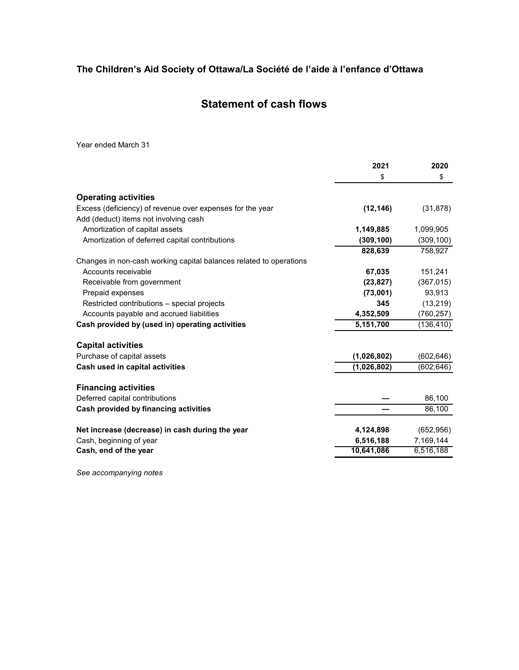## **Statement of cash flows**

Year ended March 31

|                                                                    | 2021        | 2020       |
|--------------------------------------------------------------------|-------------|------------|
|                                                                    | \$          | \$         |
| <b>Operating activities</b>                                        |             |            |
| Excess (deficiency) of revenue over expenses for the year          | (12, 146)   | (31, 878)  |
| Add (deduct) items not involving cash                              |             |            |
| Amortization of capital assets                                     | 1,149,885   | 1,099,905  |
| Amortization of deferred capital contributions                     | (309, 100)  | (309, 100) |
|                                                                    | 828,639     | 758,927    |
| Changes in non-cash working capital balances related to operations |             |            |
| Accounts receivable                                                | 67,035      | 151,241    |
| Receivable from government                                         | (23, 827)   | (367, 015) |
| Prepaid expenses                                                   | (73,001)    | 93,913     |
| Restricted contributions – special projects                        | 345         | (13,219)   |
| Accounts payable and accrued liabilities                           | 4,352,509   | (760, 257) |
| Cash provided by (used in) operating activities                    | 5,151,700   | (136, 410) |
| <b>Capital activities</b>                                          |             |            |
| Purchase of capital assets                                         | (1,026,802) | (602,646)  |
| Cash used in capital activities                                    | (1,026,802) | (602, 646) |
| <b>Financing activities</b>                                        |             |            |
| Deferred capital contributions                                     |             | 86,100     |
| Cash provided by financing activities                              |             | 86,100     |
|                                                                    |             |            |
| Net increase (decrease) in cash during the year                    | 4,124,898   | (652, 956) |
| Cash, beginning of year                                            | 6,516,188   | 7,169,144  |
| Cash, end of the year                                              | 10,641,086  | 6,516,188  |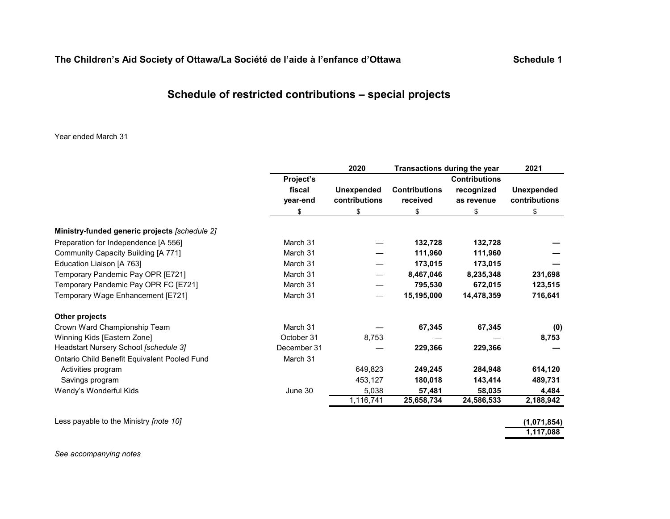## **Schedule of restricted contributions – special projects**

### Year ended March 31

|                                               |                                 | 2020                               | Transactions during the year |                                                                                      | 2021        |
|-----------------------------------------------|---------------------------------|------------------------------------|------------------------------|--------------------------------------------------------------------------------------|-------------|
|                                               | Project's<br>fiscal<br>year-end | <b>Unexpended</b><br>contributions |                              | <b>Contributions</b><br><b>Contributions</b><br>recognized<br>received<br>as revenue |             |
|                                               | \$                              | \$                                 | \$                           | \$                                                                                   | \$          |
| Ministry-funded generic projects [schedule 2] |                                 |                                    |                              |                                                                                      |             |
| Preparation for Independence [A 556]          | March 31                        |                                    | 132,728                      | 132,728                                                                              |             |
| Community Capacity Building [A 771]           | March 31                        |                                    | 111,960                      | 111,960                                                                              |             |
| Education Liaison [A 763]                     | March 31                        |                                    | 173,015                      | 173,015                                                                              |             |
| Temporary Pandemic Pay OPR [E721]             | March 31                        |                                    | 8,467,046                    | 8,235,348                                                                            | 231,698     |
| Temporary Pandemic Pay OPR FC [E721]          | March 31                        |                                    | 795,530                      | 672,015                                                                              | 123,515     |
| Temporary Wage Enhancement [E721]             | March 31                        |                                    | 15,195,000                   | 14,478,359                                                                           | 716,641     |
| <b>Other projects</b>                         |                                 |                                    |                              |                                                                                      |             |
| Crown Ward Championship Team                  | March 31                        |                                    | 67,345                       | 67,345                                                                               | (0)         |
| Winning Kids [Eastern Zone]                   | October 31                      | 8,753                              |                              |                                                                                      | 8,753       |
| Headstart Nursery School [schedule 3]         | December 31                     |                                    | 229,366                      | 229,366                                                                              |             |
| Ontario Child Benefit Equivalent Pooled Fund  | March 31                        |                                    |                              |                                                                                      |             |
| Activities program                            |                                 | 649,823                            | 249,245                      | 284,948                                                                              | 614,120     |
| Savings program                               |                                 | 453,127                            | 180,018                      | 143,414                                                                              | 489,731     |
| Wendy's Wonderful Kids                        | June 30                         | 5,038                              | 57,481                       | 58,035                                                                               | 4,484       |
|                                               |                                 | 1,116,741                          | 25,658,734                   | 24,586,533                                                                           | 2,188,942   |
| Less payable to the Ministry <i>[note 10]</i> |                                 |                                    |                              |                                                                                      | (1,071,854) |
|                                               |                                 |                                    |                              |                                                                                      |             |

 **1,117,088**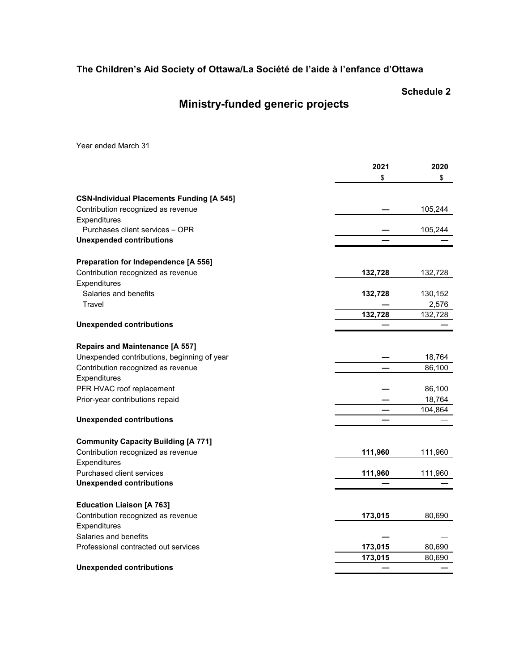**Schedule 2**

## **Ministry-funded generic projects**

Year ended March 31

|                                                  | 2021    | 2020    |
|--------------------------------------------------|---------|---------|
|                                                  | \$      | \$      |
| <b>CSN-Individual Placements Funding [A 545]</b> |         |         |
| Contribution recognized as revenue               |         | 105,244 |
| Expenditures                                     |         |         |
| Purchases client services - OPR                  |         | 105,244 |
| <b>Unexpended contributions</b>                  |         |         |
| Preparation for Independence [A 556]             |         |         |
| Contribution recognized as revenue               | 132,728 | 132,728 |
| Expenditures                                     |         |         |
| Salaries and benefits                            | 132,728 | 130,152 |
| Travel                                           |         | 2,576   |
|                                                  | 132,728 | 132,728 |
| <b>Unexpended contributions</b>                  |         |         |
|                                                  |         |         |
| <b>Repairs and Maintenance [A 557]</b>           |         |         |
| Unexpended contributions, beginning of year      |         | 18,764  |
| Contribution recognized as revenue               |         | 86,100  |
| Expenditures                                     |         |         |
| PFR HVAC roof replacement                        |         | 86,100  |
| Prior-year contributions repaid                  |         | 18,764  |
|                                                  |         | 104,864 |
| <b>Unexpended contributions</b>                  |         |         |
| <b>Community Capacity Building [A 771]</b>       |         |         |
| Contribution recognized as revenue               | 111,960 | 111,960 |
| <b>Expenditures</b>                              |         |         |
| Purchased client services                        | 111,960 | 111,960 |
| <b>Unexpended contributions</b>                  |         |         |
| <b>Education Liaison [A 763]</b>                 |         |         |
| Contribution recognized as revenue               | 173,015 | 80,690  |
| Expenditures                                     |         |         |
| Salaries and benefits                            |         |         |
| Professional contracted out services             | 173,015 | 80,690  |
|                                                  | 173,015 | 80,690  |
| <b>Unexpended contributions</b>                  |         |         |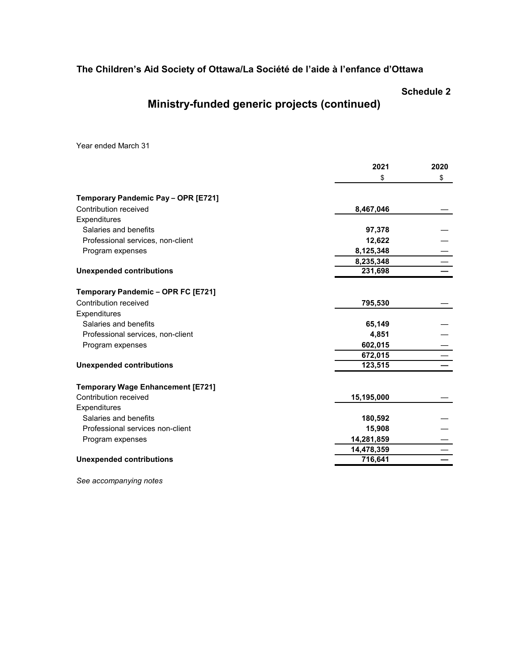**Schedule 2**

# **Ministry-funded generic projects (continued)**

Year ended March 31

| \$<br>\$<br>Temporary Pandemic Pay - OPR [E721]<br>Contribution received<br>8,467,046<br>Expenditures<br>Salaries and benefits<br>97,378<br>12,622<br>Professional services, non-client<br>8,125,348<br>Program expenses<br>8,235,348<br>231,698<br><b>Unexpended contributions</b><br>Temporary Pandemic - OPR FC [E721]<br>Contribution received<br>795,530<br>Expenditures<br>Salaries and benefits<br>65,149<br>Professional services, non-client<br>4,851<br>602,015<br>Program expenses<br>672,015<br>123,515<br><b>Unexpended contributions</b><br><b>Temporary Wage Enhancement [E721]</b><br>Contribution received<br>15,195,000<br>Expenditures<br>Salaries and benefits<br>180,592<br>15,908<br>Professional services non-client<br>14,281,859<br>Program expenses<br>14,478,359<br>716,641<br><b>Unexpended contributions</b> | 2021 | 2020 |
|-------------------------------------------------------------------------------------------------------------------------------------------------------------------------------------------------------------------------------------------------------------------------------------------------------------------------------------------------------------------------------------------------------------------------------------------------------------------------------------------------------------------------------------------------------------------------------------------------------------------------------------------------------------------------------------------------------------------------------------------------------------------------------------------------------------------------------------------|------|------|
|                                                                                                                                                                                                                                                                                                                                                                                                                                                                                                                                                                                                                                                                                                                                                                                                                                           |      |      |
|                                                                                                                                                                                                                                                                                                                                                                                                                                                                                                                                                                                                                                                                                                                                                                                                                                           |      |      |
|                                                                                                                                                                                                                                                                                                                                                                                                                                                                                                                                                                                                                                                                                                                                                                                                                                           |      |      |
|                                                                                                                                                                                                                                                                                                                                                                                                                                                                                                                                                                                                                                                                                                                                                                                                                                           |      |      |
|                                                                                                                                                                                                                                                                                                                                                                                                                                                                                                                                                                                                                                                                                                                                                                                                                                           |      |      |
|                                                                                                                                                                                                                                                                                                                                                                                                                                                                                                                                                                                                                                                                                                                                                                                                                                           |      |      |
|                                                                                                                                                                                                                                                                                                                                                                                                                                                                                                                                                                                                                                                                                                                                                                                                                                           |      |      |
|                                                                                                                                                                                                                                                                                                                                                                                                                                                                                                                                                                                                                                                                                                                                                                                                                                           |      |      |
|                                                                                                                                                                                                                                                                                                                                                                                                                                                                                                                                                                                                                                                                                                                                                                                                                                           |      |      |
|                                                                                                                                                                                                                                                                                                                                                                                                                                                                                                                                                                                                                                                                                                                                                                                                                                           |      |      |
|                                                                                                                                                                                                                                                                                                                                                                                                                                                                                                                                                                                                                                                                                                                                                                                                                                           |      |      |
|                                                                                                                                                                                                                                                                                                                                                                                                                                                                                                                                                                                                                                                                                                                                                                                                                                           |      |      |
|                                                                                                                                                                                                                                                                                                                                                                                                                                                                                                                                                                                                                                                                                                                                                                                                                                           |      |      |
|                                                                                                                                                                                                                                                                                                                                                                                                                                                                                                                                                                                                                                                                                                                                                                                                                                           |      |      |
|                                                                                                                                                                                                                                                                                                                                                                                                                                                                                                                                                                                                                                                                                                                                                                                                                                           |      |      |
|                                                                                                                                                                                                                                                                                                                                                                                                                                                                                                                                                                                                                                                                                                                                                                                                                                           |      |      |
|                                                                                                                                                                                                                                                                                                                                                                                                                                                                                                                                                                                                                                                                                                                                                                                                                                           |      |      |
|                                                                                                                                                                                                                                                                                                                                                                                                                                                                                                                                                                                                                                                                                                                                                                                                                                           |      |      |
|                                                                                                                                                                                                                                                                                                                                                                                                                                                                                                                                                                                                                                                                                                                                                                                                                                           |      |      |
|                                                                                                                                                                                                                                                                                                                                                                                                                                                                                                                                                                                                                                                                                                                                                                                                                                           |      |      |
|                                                                                                                                                                                                                                                                                                                                                                                                                                                                                                                                                                                                                                                                                                                                                                                                                                           |      |      |
|                                                                                                                                                                                                                                                                                                                                                                                                                                                                                                                                                                                                                                                                                                                                                                                                                                           |      |      |
|                                                                                                                                                                                                                                                                                                                                                                                                                                                                                                                                                                                                                                                                                                                                                                                                                                           |      |      |
|                                                                                                                                                                                                                                                                                                                                                                                                                                                                                                                                                                                                                                                                                                                                                                                                                                           |      |      |
|                                                                                                                                                                                                                                                                                                                                                                                                                                                                                                                                                                                                                                                                                                                                                                                                                                           |      |      |
|                                                                                                                                                                                                                                                                                                                                                                                                                                                                                                                                                                                                                                                                                                                                                                                                                                           |      |      |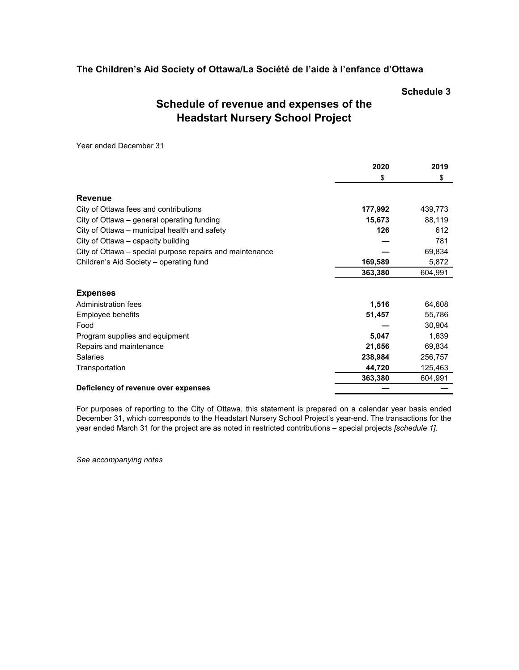**Schedule 3**

## **Schedule of revenue and expenses of the Headstart Nursery School Project**

Year ended December 31

|                                                          | 2020    | 2019    |
|----------------------------------------------------------|---------|---------|
|                                                          | \$      | \$      |
| <b>Revenue</b>                                           |         |         |
| City of Ottawa fees and contributions                    | 177,992 | 439,773 |
| City of Ottawa – general operating funding               | 15,673  | 88,119  |
| City of Ottawa – municipal health and safety             | 126     | 612     |
| City of Ottawa - capacity building                       |         | 781     |
| City of Ottawa - special purpose repairs and maintenance |         | 69,834  |
| Children's Aid Society - operating fund                  | 169,589 | 5,872   |
|                                                          | 363,380 | 604,991 |
| <b>Expenses</b>                                          |         |         |
| Administration fees                                      | 1,516   | 64,608  |
| Employee benefits                                        | 51,457  | 55,786  |
| Food                                                     |         | 30,904  |
| Program supplies and equipment                           | 5,047   | 1,639   |
| Repairs and maintenance                                  | 21,656  | 69,834  |
| Salaries                                                 | 238,984 | 256,757 |
| Transportation                                           | 44,720  | 125,463 |
|                                                          | 363,380 | 604,991 |
| Deficiency of revenue over expenses                      |         |         |

For purposes of reporting to the City of Ottawa, this statement is prepared on a calendar year basis ended December 31, which corresponds to the Headstart Nursery School Project's year-end. The transactions for the year ended March 31 for the project are as noted in restricted contributions – special projects *[schedule 1].*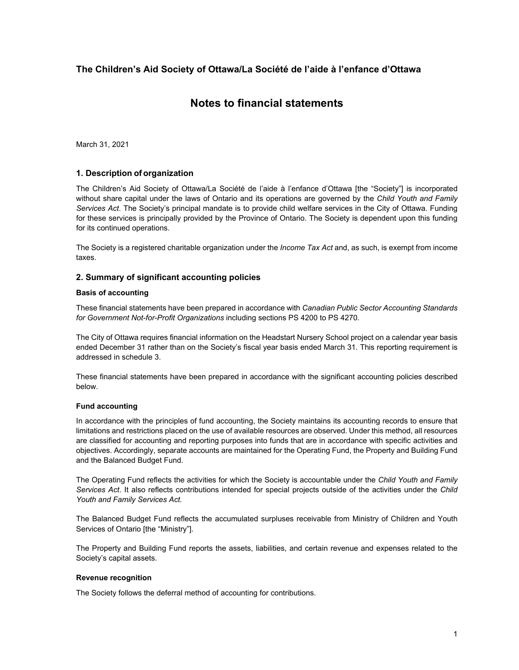### **Notes to financial statements**

March 31, 2021

### **1. Description oforganization**

The Children's Aid Society of Ottawa/La Société de l'aide à l'enfance d'Ottawa [the "Society"] is incorporated without share capital under the laws of Ontario and its operations are governed by the *Child Youth and Family Services Act*. The Society's principal mandate is to provide child welfare services in the City of Ottawa. Funding for these services is principally provided by the Province of Ontario. The Society is dependent upon this funding for its continued operations.

The Society is a registered charitable organization under the *Income Tax Act* and, as such, is exempt from income taxes.

#### **2. Summary of significant accounting policies**

#### **Basis of accounting**

These financial statements have been prepared in accordance with *Canadian Public Sector Accounting Standards for Government Not-for-Profit Organizations* including sections PS 4200 to PS 4270.

The City of Ottawa requires financial information on the Headstart Nursery School project on a calendar year basis ended December 31 rather than on the Society's fiscal year basis ended March 31. This reporting requirement is addressed in schedule 3.

These financial statements have been prepared in accordance with the significant accounting policies described below.

#### **Fund accounting**

In accordance with the principles of fund accounting, the Society maintains its accounting records to ensure that limitations and restrictions placed on the use of available resources are observed. Under this method, all resources are classified for accounting and reporting purposes into funds that are in accordance with specific activities and objectives. Accordingly, separate accounts are maintained for the Operating Fund, the Property and Building Fund and the Balanced Budget Fund.

The Operating Fund reflects the activities for which the Society is accountable under the *Child Youth and Family Services Act*. It also reflects contributions intended for special projects outside of the activities under the *Child Youth and Family Services Act.*

The Balanced Budget Fund reflects the accumulated surpluses receivable from Ministry of Children and Youth Services of Ontario [the "Ministry"].

The Property and Building Fund reports the assets, liabilities, and certain revenue and expenses related to the Society's capital assets.

#### **Revenue recognition**

The Society follows the deferral method of accounting for contributions.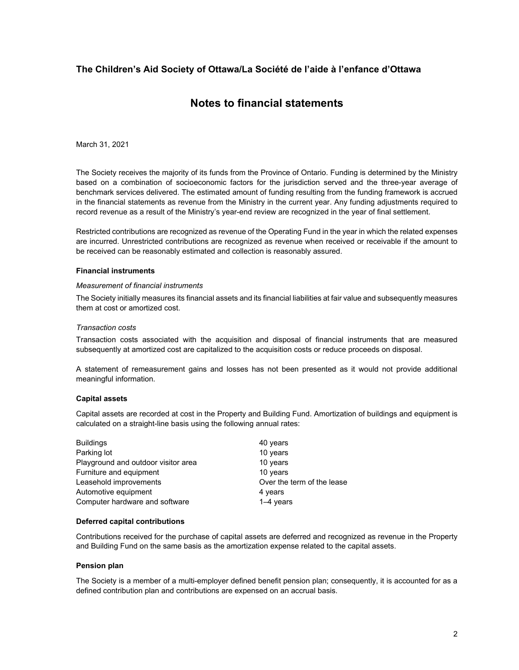### **Notes to financial statements**

March 31, 2021

The Society receives the majority of its funds from the Province of Ontario. Funding is determined by the Ministry based on a combination of socioeconomic factors for the jurisdiction served and the three-year average of benchmark services delivered. The estimated amount of funding resulting from the funding framework is accrued in the financial statements as revenue from the Ministry in the current year. Any funding adjustments required to record revenue as a result of the Ministry's year-end review are recognized in the year of final settlement.

Restricted contributions are recognized as revenue of the Operating Fund in the year in which the related expenses are incurred. Unrestricted contributions are recognized as revenue when received or receivable if the amount to be received can be reasonably estimated and collection is reasonably assured.

#### **Financial instruments**

#### *Measurement of financial instruments*

The Society initially measures its financial assets and its financial liabilities at fair value and subsequently measures them at cost or amortized cost.

#### *Transaction costs*

Transaction costs associated with the acquisition and disposal of financial instruments that are measured subsequently at amortized cost are capitalized to the acquisition costs or reduce proceeds on disposal.

A statement of remeasurement gains and losses has not been presented as it would not provide additional meaningful information.

#### **Capital assets**

Capital assets are recorded at cost in the Property and Building Fund. Amortization of buildings and equipment is calculated on a straight-line basis using the following annual rates:

| 40 years                   |
|----------------------------|
| 10 years                   |
| 10 years                   |
| 10 years                   |
| Over the term of the lease |
| 4 years                    |
| $1-4$ years                |
|                            |

#### **Deferred capital contributions**

Contributions received for the purchase of capital assets are deferred and recognized as revenue in the Property and Building Fund on the same basis as the amortization expense related to the capital assets.

#### **Pension plan**

The Society is a member of a multi-employer defined benefit pension plan; consequently, it is accounted for as a defined contribution plan and contributions are expensed on an accrual basis.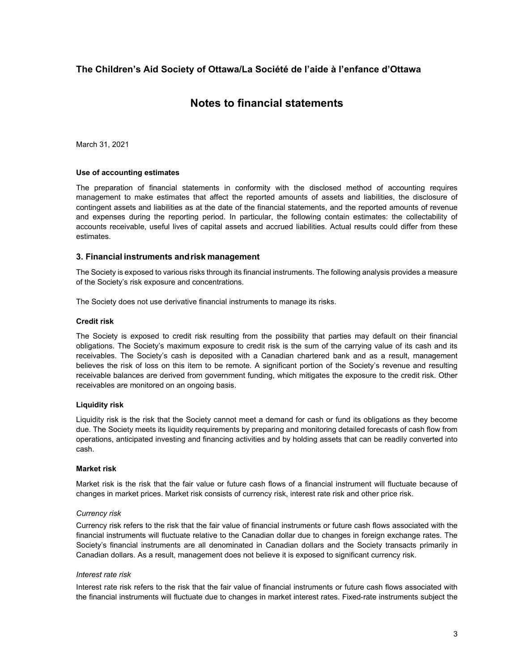### **Notes to financial statements**

March 31, 2021

#### **Use of accounting estimates**

The preparation of financial statements in conformity with the disclosed method of accounting requires management to make estimates that affect the reported amounts of assets and liabilities, the disclosure of contingent assets and liabilities as at the date of the financial statements, and the reported amounts of revenue and expenses during the reporting period. In particular, the following contain estimates: the collectability of accounts receivable, useful lives of capital assets and accrued liabilities. Actual results could differ from these estimates.

#### **3. Financial instruments andrisk management**

The Society is exposed to various risks through its financial instruments. The following analysis provides a measure of the Society's risk exposure and concentrations.

The Society does not use derivative financial instruments to manage its risks.

#### **Credit risk**

The Society is exposed to credit risk resulting from the possibility that parties may default on their financial obligations. The Society's maximum exposure to credit risk is the sum of the carrying value of its cash and its receivables. The Society's cash is deposited with a Canadian chartered bank and as a result, management believes the risk of loss on this item to be remote. A significant portion of the Society's revenue and resulting receivable balances are derived from government funding, which mitigates the exposure to the credit risk. Other receivables are monitored on an ongoing basis.

#### **Liquidity risk**

Liquidity risk is the risk that the Society cannot meet a demand for cash or fund its obligations as they become due. The Society meets its liquidity requirements by preparing and monitoring detailed forecasts of cash flow from operations, anticipated investing and financing activities and by holding assets that can be readily converted into cash.

#### **Market risk**

Market risk is the risk that the fair value or future cash flows of a financial instrument will fluctuate because of changes in market prices. Market risk consists of currency risk, interest rate risk and other price risk.

#### *Currency risk*

Currency risk refers to the risk that the fair value of financial instruments or future cash flows associated with the financial instruments will fluctuate relative to the Canadian dollar due to changes in foreign exchange rates. The Society's financial instruments are all denominated in Canadian dollars and the Society transacts primarily in Canadian dollars. As a result, management does not believe it is exposed to significant currency risk.

#### *Interest rate risk*

Interest rate risk refers to the risk that the fair value of financial instruments or future cash flows associated with the financial instruments will fluctuate due to changes in market interest rates. Fixed-rate instruments subject the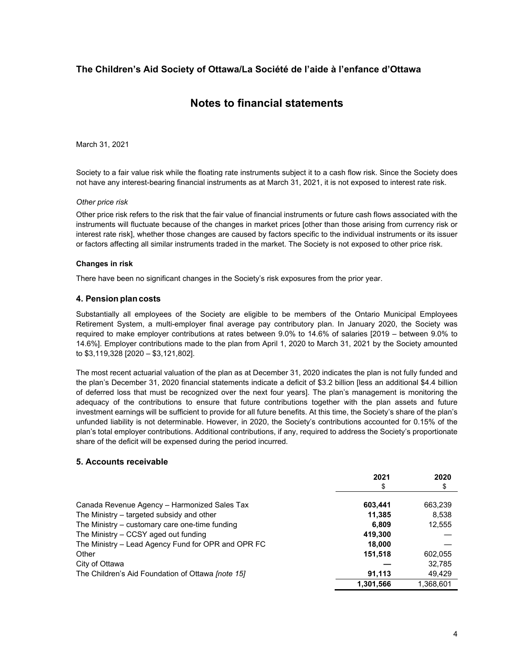## **Notes to financial statements**

March 31, 2021

Society to a fair value risk while the floating rate instruments subject it to a cash flow risk. Since the Society does not have any interest-bearing financial instruments as at March 31, 2021, it is not exposed to interest rate risk.

#### *Other price risk*

Other price risk refers to the risk that the fair value of financial instruments or future cash flows associated with the instruments will fluctuate because of the changes in market prices [other than those arising from currency risk or interest rate risk], whether those changes are caused by factors specific to the individual instruments or its issuer or factors affecting all similar instruments traded in the market. The Society is not exposed to other price risk.

### **Changes in risk**

There have been no significant changes in the Society's risk exposures from the prior year.

### **4. Pension plancosts**

Substantially all employees of the Society are eligible to be members of the Ontario Municipal Employees Retirement System, a multi-employer final average pay contributory plan. In January 2020, the Society was required to make employer contributions at rates between 9.0% to 14.6% of salaries [2019 – between 9.0% to 14.6%]. Employer contributions made to the plan from April 1, 2020 to March 31, 2021 by the Society amounted to \$3,119,328 [2020 – \$3,121,802].

The most recent actuarial valuation of the plan as at December 31, 2020 indicates the plan is not fully funded and the plan's December 31, 2020 financial statements indicate a deficit of \$3.2 billion [less an additional \$4.4 billion of deferred loss that must be recognized over the next four years]. The plan's management is monitoring the adequacy of the contributions to ensure that future contributions together with the plan assets and future investment earnings will be sufficient to provide for all future benefits. At this time, the Society's share of the plan's unfunded liability is not determinable. However, in 2020, the Society's contributions accounted for 0.15% of the plan's total employer contributions. Additional contributions, if any, required to address the Society's proportionate share of the deficit will be expensed during the period incurred.

### **5. Accounts receivable**

|                                                          | 2021      | 2020      |
|----------------------------------------------------------|-----------|-----------|
|                                                          | \$        | \$        |
| Canada Revenue Agency – Harmonized Sales Tax             | 603,441   | 663,239   |
| The Ministry – targeted subsidy and other                | 11,385    | 8,538     |
| The Ministry - customary care one-time funding           | 6,809     | 12,555    |
| The Ministry – CCSY aged out funding                     | 419,300   |           |
| The Ministry - Lead Agency Fund for OPR and OPR FC       | 18,000    |           |
| Other                                                    | 151,518   | 602,055   |
| City of Ottawa                                           |           | 32,785    |
| The Children's Aid Foundation of Ottawa <i>Inote 151</i> | 91.113    | 49,429    |
|                                                          | 1,301,566 | 1.368.601 |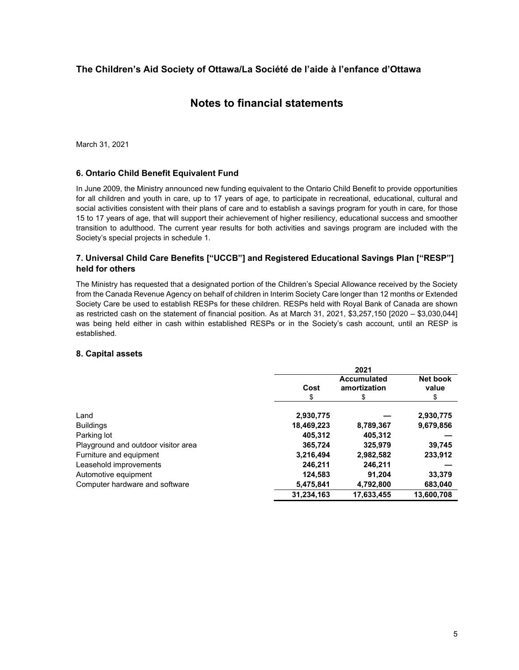### **Notes to financial statements**

March 31, 2021

### **6. Ontario Child Benefit Equivalent Fund**

In June 2009, the Ministry announced new funding equivalent to the Ontario Child Benefit to provide opportunities for all children and youth in care, up to 17 years of age, to participate in recreational, educational, cultural and social activities consistent with their plans of care and to establish a savings program for youth in care, for those 15 to 17 years of age, that will support their achievement of higher resiliency, educational success and smoother transition to adulthood. The current year results for both activities and savings program are included with the Society's special projects in schedule 1.

### **7. Universal Child Care Benefits ["UCCB"] and Registered Educational Savings Plan ["RESP"] held for others**

The Ministry has requested that a designated portion of the Children's Special Allowance received by the Society from the Canada Revenue Agency on behalf of children in Interim Society Care longer than 12 months or Extended Society Care be used to establish RESPs for these children. RESPs held with Royal Bank of Canada are shown as restricted cash on the statement of financial position. As at March 31, 2021, \$3,257,150 [2020 – \$3,030,044] was being held either in cash within established RESPs or in the Society's cash account, until an RESP is established.

### **8. Capital assets**

|                                     |            | 2021                                    |                         |
|-------------------------------------|------------|-----------------------------------------|-------------------------|
|                                     | Cost<br>\$ | <b>Accumulated</b><br>amortization<br>S | Net book<br>value<br>\$ |
| Land                                | 2,930,775  |                                         | 2,930,775               |
| <b>Buildings</b>                    | 18,469,223 | 8,789,367                               | 9,679,856               |
| Parking lot                         | 405.312    | 405,312                                 |                         |
| Playground and outdoor visitor area | 365.724    | 325.979                                 | 39,745                  |
| Furniture and equipment             | 3,216,494  | 2,982,582                               | 233,912                 |
| Leasehold improvements              | 246,211    | 246,211                                 |                         |
| Automotive equipment                | 124,583    | 91.204                                  | 33,379                  |
| Computer hardware and software      | 5,475,841  | 4,792,800                               | 683,040                 |
|                                     | 31,234,163 | 17,633,455                              | 13,600,708              |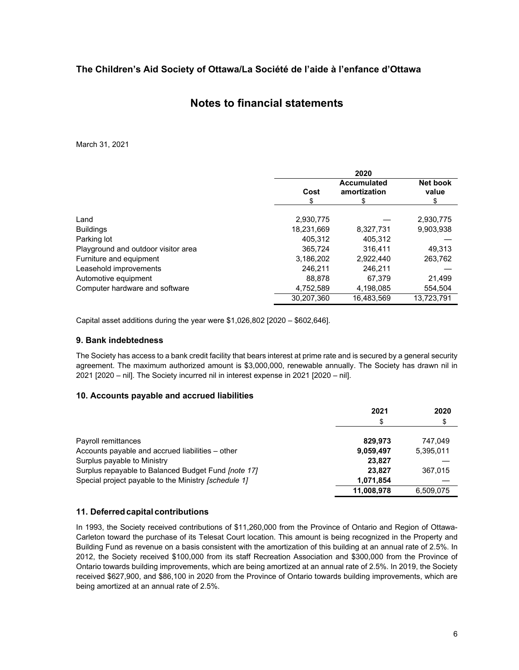### **Notes to financial statements**

### March 31, 2021

|                                     |            | 2020                               |                   |  |
|-------------------------------------|------------|------------------------------------|-------------------|--|
|                                     | Cost       | <b>Accumulated</b><br>amortization | Net book<br>value |  |
|                                     | \$         | \$                                 | \$                |  |
| Land                                | 2,930,775  |                                    | 2,930,775         |  |
| <b>Buildings</b>                    | 18,231,669 | 8.327.731                          | 9,903,938         |  |
| Parking lot                         | 405.312    | 405.312                            |                   |  |
| Playground and outdoor visitor area | 365.724    | 316.411                            | 49.313            |  |
| Furniture and equipment             | 3,186,202  | 2.922.440                          | 263,762           |  |
| Leasehold improvements              | 246,211    | 246,211                            |                   |  |
| Automotive equipment                | 88.878     | 67.379                             | 21,499            |  |
| Computer hardware and software      | 4,752,589  | 4,198,085                          | 554,504           |  |
|                                     | 30.207.360 | 16.483.569                         | 13.723.791        |  |

Capital asset additions during the year were \$1,026,802 [2020 – \$602,646].

### **9. Bank indebtedness**

The Society has access to a bank credit facility that bears interest at prime rate and is secured by a general security agreement. The maximum authorized amount is \$3,000,000, renewable annually. The Society has drawn nil in 2021 [2020 – nil]. The Society incurred nil in interest expense in 2021 [2020 – nil].

### **10. Accounts payable and accrued liabilities**

|                                                            | 2021       | 2020      |  |
|------------------------------------------------------------|------------|-----------|--|
|                                                            | \$         | \$        |  |
| Payroll remittances                                        | 829.973    | 747.049   |  |
| Accounts payable and accrued liabilities – other           | 9,059,497  | 5.395.011 |  |
| Surplus payable to Ministry                                | 23.827     |           |  |
| Surplus repayable to Balanced Budget Fund <i>[note 17]</i> | 23.827     | 367.015   |  |
| Special project payable to the Ministry [schedule 1]       | 1,071,854  |           |  |
|                                                            | 11,008,978 | 6.509.075 |  |

### **11. Deferredcapital contributions**

In 1993, the Society received contributions of \$11,260,000 from the Province of Ontario and Region of Ottawa-Carleton toward the purchase of its Telesat Court location. This amount is being recognized in the Property and Building Fund as revenue on a basis consistent with the amortization of this building at an annual rate of 2.5%. In 2012, the Society received \$100,000 from its staff Recreation Association and \$300,000 from the Province of Ontario towards building improvements, which are being amortized at an annual rate of 2.5%. In 2019, the Society received \$627,900, and \$86,100 in 2020 from the Province of Ontario towards building improvements, which are being amortized at an annual rate of 2.5%.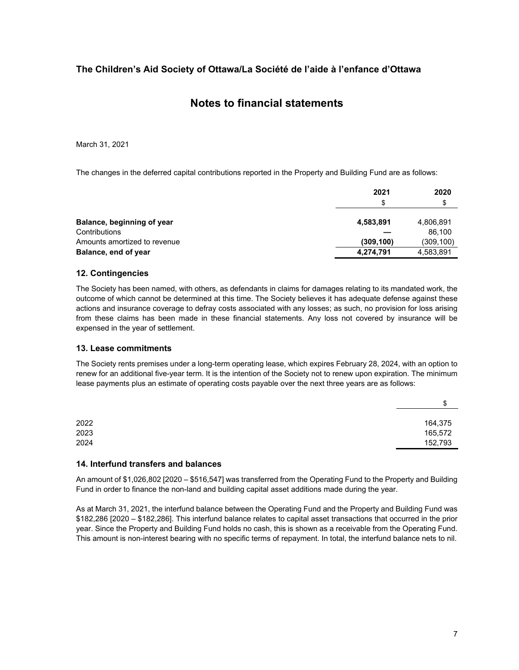### **Notes to financial statements**

March 31, 2021

The changes in the deferred capital contributions reported in the Property and Building Fund are as follows:

|                              | 2021       | 2020       |
|------------------------------|------------|------------|
|                              | S          | \$         |
| Balance, beginning of year   | 4,583,891  | 4,806,891  |
| Contributions                |            | 86.100     |
| Amounts amortized to revenue | (309, 100) | (309, 100) |
| Balance, end of year         | 4,274,791  | 4,583,891  |

### **12. Contingencies**

The Society has been named, with others, as defendants in claims for damages relating to its mandated work, the outcome of which cannot be determined at this time. The Society believes it has adequate defense against these actions and insurance coverage to defray costs associated with any losses; as such, no provision for loss arising from these claims has been made in these financial statements. Any loss not covered by insurance will be expensed in the year of settlement.

### **13. Lease commitments**

The Society rents premises under a long-term operating lease, which expires February 28, 2024, with an option to renew for an additional five-year term. It is the intention of the Society not to renew upon expiration. The minimum lease payments plus an estimate of operating costs payable over the next three years are as follows:

|      | Φ       |
|------|---------|
|      |         |
| 2022 | 164,375 |
| 2023 | 165,572 |
| 2024 | 152,793 |

#### **14. Interfund transfers and balances**

An amount of \$1,026,802 [2020 – \$516,547] was transferred from the Operating Fund to the Property and Building Fund in order to finance the non-land and building capital asset additions made during the year.

As at March 31, 2021, the interfund balance between the Operating Fund and the Property and Building Fund was \$182,286 [2020 – \$182,286]. This interfund balance relates to capital asset transactions that occurred in the prior year. Since the Property and Building Fund holds no cash, this is shown as a receivable from the Operating Fund. This amount is non-interest bearing with no specific terms of repayment. In total, the interfund balance nets to nil.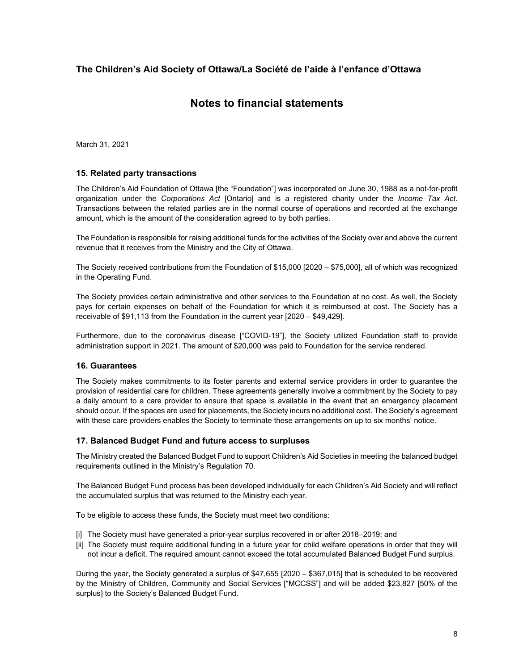### **Notes to financial statements**

March 31, 2021

### **15. Related party transactions**

The Children's Aid Foundation of Ottawa [the "Foundation"] was incorporated on June 30, 1988 as a not-for-profit organization under the *Corporations Act* [Ontario] and is a registered charity under the *Income Tax Act*. Transactions between the related parties are in the normal course of operations and recorded at the exchange amount, which is the amount of the consideration agreed to by both parties.

The Foundation is responsible for raising additional funds for the activities of the Society over and above the current revenue that it receives from the Ministry and the City of Ottawa.

The Society received contributions from the Foundation of \$15,000 [2020 – \$75,000], all of which was recognized in the Operating Fund.

The Society provides certain administrative and other services to the Foundation at no cost. As well, the Society pays for certain expenses on behalf of the Foundation for which it is reimbursed at cost. The Society has a receivable of \$91,113 from the Foundation in the current year [2020 – \$49,429].

Furthermore, due to the coronavirus disease ["COVID-19"], the Society utilized Foundation staff to provide administration support in 2021. The amount of \$20,000 was paid to Foundation for the service rendered.

### **16. Guarantees**

The Society makes commitments to its foster parents and external service providers in order to guarantee the provision of residential care for children. These agreements generally involve a commitment by the Society to pay a daily amount to a care provider to ensure that space is available in the event that an emergency placement should occur. If the spaces are used for placements, the Society incurs no additional cost. The Society's agreement with these care providers enables the Society to terminate these arrangements on up to six months' notice.

#### **17. Balanced Budget Fund and future access to surpluses**

The Ministry created the Balanced Budget Fund to support Children's Aid Societies in meeting the balanced budget requirements outlined in the Ministry's Regulation 70.

The Balanced Budget Fund process has been developed individually for each Children's Aid Society and will reflect the accumulated surplus that was returned to the Ministry each year.

To be eligible to access these funds, the Society must meet two conditions:

- [i] The Society must have generated a prior-year surplus recovered in or after 2018–2019; and
- [ii] The Society must require additional funding in a future year for child welfare operations in order that they will not incur a deficit. The required amount cannot exceed the total accumulated Balanced Budget Fund surplus.

During the year, the Society generated a surplus of \$47,655 [2020 – \$367,015] that is scheduled to be recovered by the Ministry of Children, Community and Social Services ["MCCSS"] and will be added \$23,827 [50% of the surplus] to the Society's Balanced Budget Fund.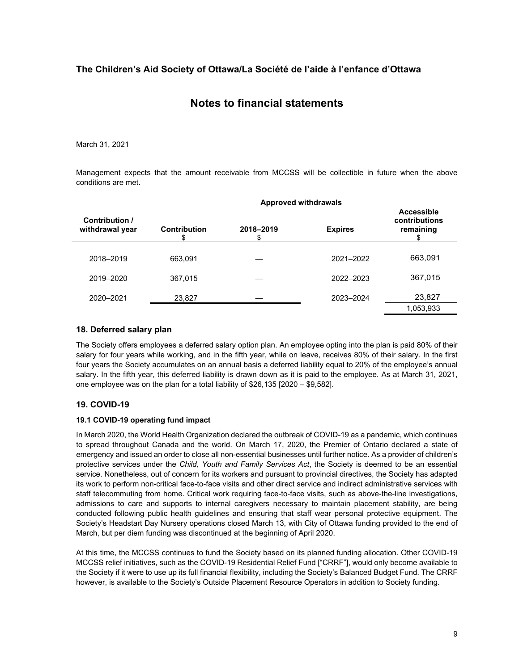### **Notes to financial statements**

### March 31, 2021

Management expects that the amount receivable from MCCSS will be collectible in future when the above conditions are met.

|                                   |                     | <b>Approved withdrawals</b> |                |                                          |
|-----------------------------------|---------------------|-----------------------------|----------------|------------------------------------------|
| Contribution /<br>withdrawal year | <b>Contribution</b> | 2018-2019                   | <b>Expires</b> | Accessible<br>contributions<br>remaining |
| 2018-2019                         | 663.091             |                             | 2021-2022      | 663,091                                  |
| 2019-2020                         | 367,015             |                             | 2022-2023      | 367,015                                  |
| 2020-2021                         | 23,827              |                             | 2023-2024      | 23,827                                   |
|                                   |                     |                             |                | 1,053,933                                |

### **18. Deferred salary plan**

The Society offers employees a deferred salary option plan. An employee opting into the plan is paid 80% of their salary for four years while working, and in the fifth year, while on leave, receives 80% of their salary. In the first four years the Society accumulates on an annual basis a deferred liability equal to 20% of the employee's annual salary. In the fifth year, this deferred liability is drawn down as it is paid to the employee. As at March 31, 2021, one employee was on the plan for a total liability of \$26,135 [2020 – \$9,582].

### **19. COVID-19**

### **19.1 COVID-19 operating fund impact**

In March 2020, the World Health Organization declared the outbreak of COVID-19 as a pandemic, which continues to spread throughout Canada and the world. On March 17, 2020, the Premier of Ontario declared a state of emergency and issued an order to close all non-essential businesses until further notice. As a provider of children's protective services under the *Child, Youth and Family Services Act*, the Society is deemed to be an essential service. Nonetheless, out of concern for its workers and pursuant to provincial directives, the Society has adapted its work to perform non-critical face-to-face visits and other direct service and indirect administrative services with staff telecommuting from home. Critical work requiring face-to-face visits, such as above-the-line investigations, admissions to care and supports to internal caregivers necessary to maintain placement stability, are being conducted following public health guidelines and ensuring that staff wear personal protective equipment. The Society's Headstart Day Nursery operations closed March 13, with City of Ottawa funding provided to the end of March, but per diem funding was discontinued at the beginning of April 2020.

At this time, the MCCSS continues to fund the Society based on its planned funding allocation. Other COVID-19 MCCSS relief initiatives, such as the COVID-19 Residential Relief Fund ["CRRF"], would only become available to the Society if it were to use up its full financial flexibility, including the Society's Balanced Budget Fund. The CRRF however, is available to the Society's Outside Placement Resource Operators in addition to Society funding.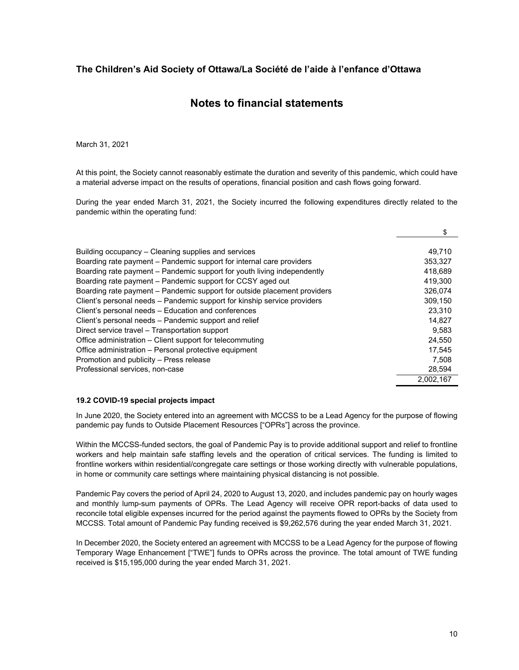### **Notes to financial statements**

March 31, 2021

At this point, the Society cannot reasonably estimate the duration and severity of this pandemic, which could have a material adverse impact on the results of operations, financial position and cash flows going forward.

During the year ended March 31, 2021, the Society incurred the following expenditures directly related to the pandemic within the operating fund:

|                                                                          | \$        |
|--------------------------------------------------------------------------|-----------|
|                                                                          |           |
| Building occupancy – Cleaning supplies and services                      | 49.710    |
| Boarding rate payment – Pandemic support for internal care providers     | 353.327   |
| Boarding rate payment - Pandemic support for youth living independently  | 418.689   |
| Boarding rate payment - Pandemic support for CCSY aged out               | 419.300   |
| Boarding rate payment – Pandemic support for outside placement providers | 326,074   |
| Client's personal needs - Pandemic support for kinship service providers | 309,150   |
| Client's personal needs - Education and conferences                      | 23.310    |
| Client's personal needs – Pandemic support and relief                    | 14.827    |
| Direct service travel – Transportation support                           | 9.583     |
| Office administration – Client support for telecommuting                 | 24,550    |
| Office administration – Personal protective equipment                    | 17,545    |
| Promotion and publicity - Press release                                  | 7.508     |
| Professional services, non-case                                          | 28,594    |
|                                                                          | 2.002.167 |

### **19.2 COVID-19 special projects impact**

In June 2020, the Society entered into an agreement with MCCSS to be a Lead Agency for the purpose of flowing pandemic pay funds to Outside Placement Resources ["OPRs"] across the province.

Within the MCCSS-funded sectors, the goal of Pandemic Pay is to provide additional support and relief to frontline workers and help maintain safe staffing levels and the operation of critical services. The funding is limited to frontline workers within residential/congregate care settings or those working directly with vulnerable populations, in home or community care settings where maintaining physical distancing is not possible.

Pandemic Pay covers the period of April 24, 2020 to August 13, 2020, and includes pandemic pay on hourly wages and monthly lump-sum payments of OPRs. The Lead Agency will receive OPR report-backs of data used to reconcile total eligible expenses incurred for the period against the payments flowed to OPRs by the Society from MCCSS. Total amount of Pandemic Pay funding received is \$9,262,576 during the year ended March 31, 2021.

In December 2020, the Society entered an agreement with MCCSS to be a Lead Agency for the purpose of flowing Temporary Wage Enhancement ["TWE"] funds to OPRs across the province. The total amount of TWE funding received is \$15,195,000 during the year ended March 31, 2021.